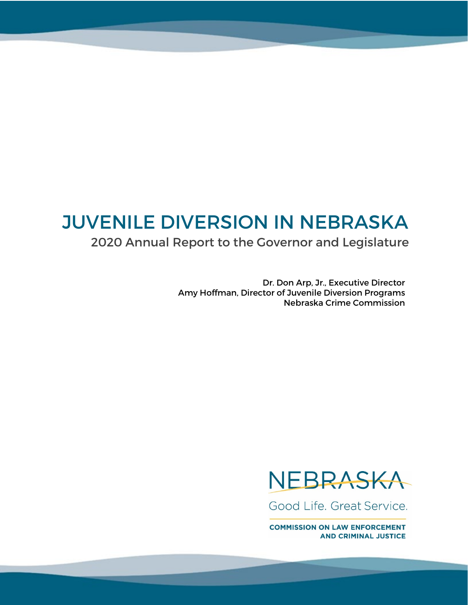# JUVENILE DIVERSION IN NEBRASKA

## 2020 Annual Report to the Governor and Legislature

Dr. Don Arp, Jr., Executive Director Amy Hoffman, Director of Juvenile Diversion Programs Nebraska Crime Commission



Good Life, Great Service.

**COMMISSION ON LAW ENFORCEMENT AND CRIMINAL JUSTICE**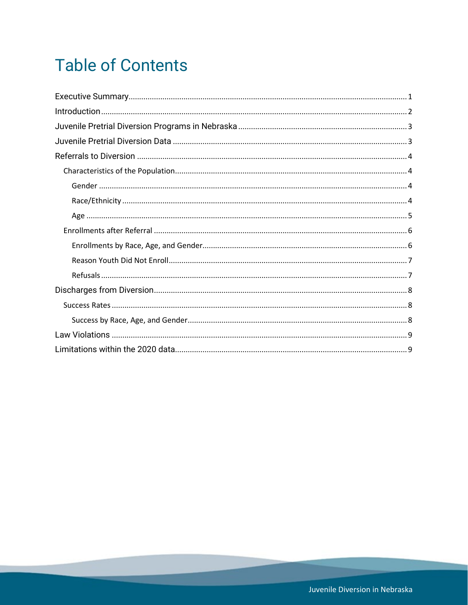# **Table of Contents**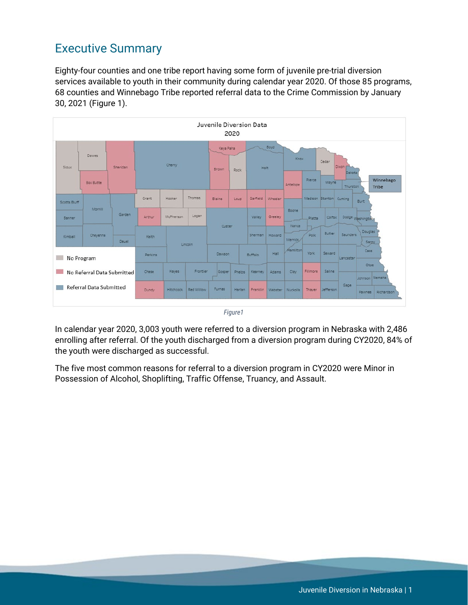## <span id="page-2-0"></span>Executive Summary

Eighty-four counties and one tribe report having some form of juvenile pre-trial diversion services available to youth in their community during calendar year 2020. Of those 85 programs, 68 counties and Winnebago Tribe reported referral data to the Crime Commission by January 30, 2021 (Figure 1).



*Figure1*

In calendar year 2020, 3,003 youth were referred to a diversion program in Nebraska with 2,486 enrolling after referral. Of the youth discharged from a diversion program during CY2020, 84% of the youth were discharged as successful.

The five most common reasons for referral to a diversion program in CY2020 were Minor in Possession of Alcohol, Shoplifting, Traffic Offense, Truancy, and Assault.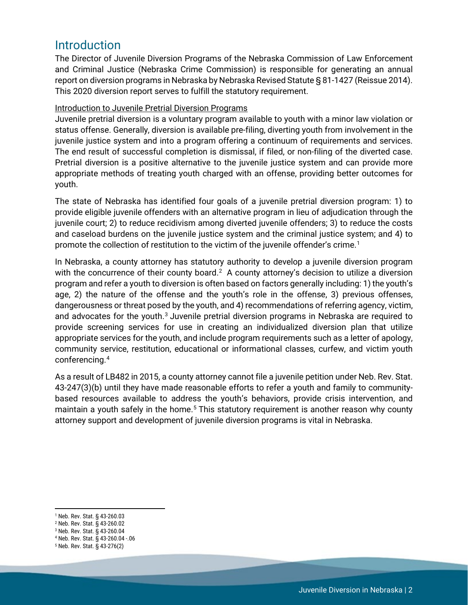### <span id="page-3-0"></span>Introduction

The Director of Juvenile Diversion Programs of the Nebraska Commission of Law Enforcement and Criminal Justice (Nebraska Crime Commission) is responsible for generating an annual report on diversion programs in Nebraska by Nebraska Revised Statute § 81-1427 (Reissue 2014). This 2020 diversion report serves to fulfill the statutory requirement.

#### Introduction to Juvenile Pretrial Diversion Programs

Juvenile pretrial diversion is a voluntary program available to youth with a minor law violation or status offense. Generally, diversion is available pre-filing, diverting youth from involvement in the juvenile justice system and into a program offering a continuum of requirements and services. The end result of successful completion is dismissal, if filed, or non-filing of the diverted case. Pretrial diversion is a positive alternative to the juvenile justice system and can provide more appropriate methods of treating youth charged with an offense, providing better outcomes for youth.

The state of Nebraska has identified four goals of a juvenile pretrial diversion program: 1) to provide eligible juvenile offenders with an alternative program in lieu of adjudication through the juvenile court; 2) to reduce recidivism among diverted juvenile offenders; 3) to reduce the costs and caseload burdens on the juvenile justice system and the criminal justice system; and 4) to promote the collection of restitution to the victim of the juvenile offender's crime.[1](#page-3-1)

In Nebraska, a county attorney has statutory authority to develop a juvenile diversion program with the concurrence of their county board.<sup>2</sup> A county attorney's decision to utilize a diversion program and refer a youth to diversion is often based on factors generally including: 1) the youth's age, 2) the nature of the offense and the youth's role in the offense, 3) previous offenses, dangerousness or threat posed by the youth, and 4) recommendations of referring agency, victim, and advocates for the youth.<sup>[3](#page-3-3)</sup> Juvenile pretrial diversion programs in Nebraska are required to provide screening services for use in creating an individualized diversion plan that utilize appropriate services for the youth, and include program requirements such as a letter of apology, community service, restitution, educational or informational classes, curfew, and victim youth conferencing. [4](#page-3-4)

As a result of LB482 in 2015, a county attorney cannot file a juvenile petition under Neb. Rev. Stat. 43-247(3)(b) until they have made reasonable efforts to refer a youth and family to communitybased resources available to address the youth's behaviors, provide crisis intervention, and maintain a youth safely in the home.<sup>[5](#page-3-5)</sup> This statutory requirement is another reason why county attorney support and development of juvenile diversion programs is vital in Nebraska.

 $\overline{a}$ <sup>1</sup> Neb. Rev. Stat. § 43-260.03

<span id="page-3-2"></span><span id="page-3-1"></span><sup>2</sup> Neb. Rev. Stat. § 43-260.02

<span id="page-3-3"></span><sup>3</sup> Neb. Rev. Stat. § 43-260.04

<span id="page-3-4"></span><sup>4</sup> Neb. Rev. Stat. § 43-260.04 -.06

<span id="page-3-5"></span><sup>5</sup> Neb. Rev. Stat. § 43-276(2)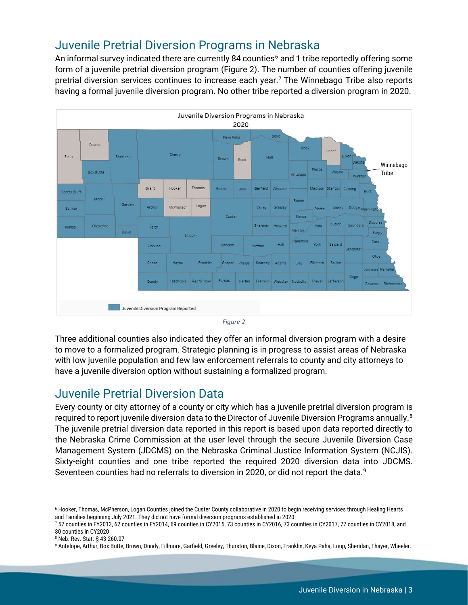## <span id="page-4-0"></span>Juvenile Pretrial Diversion Programs in Nebraska

An informal survey indicated there are currently 84 counties<sup>[6](#page-4-2)</sup> and 1 tribe reportedly offering some form of a juvenile pretrial diversion program (Figure 2). The number of counties offering juvenile pretrial diversion services continues to increase each year.<sup>[7](#page-4-3)</sup> The Winnebago Tribe also reports having a formal juvenile diversion program. No other tribe reported a diversion program in 2020.



*Figure 2*

Three additional counties also indicated they offer an informal diversion program with a desire to move to a formalized program. Strategic planning is in progress to assist areas of Nebraska with low juvenile population and few law enforcement referrals to county and city attorneys to have a juvenile diversion option without sustaining a formalized program.

## <span id="page-4-1"></span>Juvenile Pretrial Diversion Data

Every county or city attorney of a county or city which has a juvenile pretrial diversion program is required to report juvenile diversion data to the Director of Juvenile Diversion Programs annually. $^8$  $^8$ The juvenile pretrial diversion data reported in this report is based upon data reported directly to the Nebraska Crime Commission at the user level through the secure Juvenile Diversion Case Management System (JDCMS) on the Nebraska Criminal Justice Information System (NCJIS). Sixty-eight counties and one tribe reported the required 2020 diversion data into JDCMS. Seventeen counties had no referrals to diversion in 2020, or did not report the data.<sup>9</sup>

<span id="page-4-2"></span>l <sup>6</sup> Hooker, Thomas, McPherson, Logan Counties joined the Custer County collaborative in 2020 to begin receiving services through Healing Hearts and Families beginning July 2021. They did not have formal diversion programs

<span id="page-4-3"></span><sup>7 57</sup> counties in FY2013, 62 counties in FY2014, 69 counties in CY2015, 73 counties in CY2016, 73 counties in CY2017, 77 counties in CY2018, and 80 counties in CY2020

<span id="page-4-4"></span><sup>8</sup> Neb. Rev. Stat. § 43-260.07

<span id="page-4-5"></span><sup>9</sup> Antelope, Arthur, Box Butte, Brown, Dundy, Fillmore, Garfield, Greeley, Thurston, Blaine, Dixon, Franklin, Keya Paha, Loup, Sheridan, Thayer, Wheeler.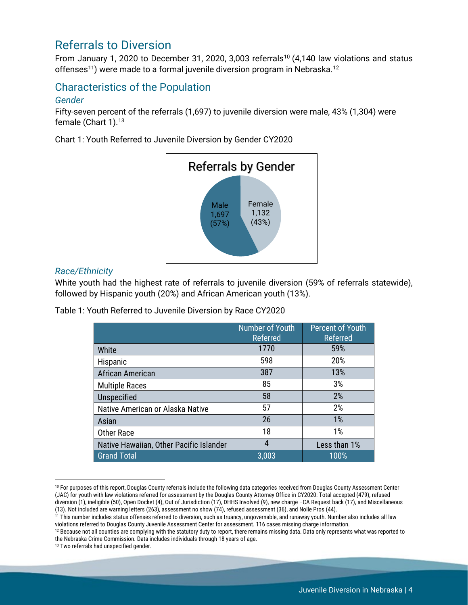### <span id="page-5-0"></span>Referrals to Diversion

From January 1, 2020 to December 31, 2020, 3,003 referrals<sup>[10](#page-5-4)</sup> (4,140 law violations and status offenses<sup>11</sup>) were made to a formal juvenile diversion program in Nebraska.<sup>[12](#page-5-6)</sup>

### <span id="page-5-1"></span>Characteristics of the Population

#### <span id="page-5-2"></span>*Gender*

Fifty-seven percent of the referrals (1,697) to juvenile diversion were male, 43% (1,304) were female (Chart 1).<sup>[13](#page-5-7)</sup>

Chart 1: Youth Referred to Juvenile Diversion by Gender CY2020



#### <span id="page-5-3"></span>*Race/Ethnicity*

White youth had the highest rate of referrals to juvenile diversion (59% of referrals statewide), followed by Hispanic youth (20%) and African American youth (13%).

Table 1: Youth Referred to Juvenile Diversion by Race CY2020

|                                         | Number of Youth<br>Referred | <b>Percent of Youth</b><br>Referred |
|-----------------------------------------|-----------------------------|-------------------------------------|
| White                                   | 1770                        | 59%                                 |
| Hispanic                                | 598                         | 20%                                 |
| African American                        | 387                         | 13%                                 |
| <b>Multiple Races</b>                   | 85                          | 3%                                  |
| Unspecified                             | 58                          | 2%                                  |
| Native American or Alaska Native        | 57                          | 2%                                  |
| Asian                                   | 26                          | 1%                                  |
| <b>Other Race</b>                       | 18                          | 1%                                  |
| Native Hawaiian, Other Pacific Islander | 4                           | Less than 1%                        |
| <b>Grand Total</b>                      | 3,003                       | 100%                                |

<span id="page-5-4"></span><sup>&</sup>lt;sup>10</sup> For purposes of this report, Douglas County referrals include the following data categories received from Douglas County Assessment Center (JAC) for youth with law violations referred for assessment by the Douglas County Attorney Office in CY2020: Total accepted (479), refused diversion (1), ineligible (50), Open Docket (4), Out of Jurisdiction (17), DHHS Involved (9), new charge –CA Request back (17), and Miscellaneous (13). Not included are warning letters (263), assessment no show (74), refused assessment (36), and Nolle Pros (44).

 $\overline{\phantom{a}}$ 

<span id="page-5-5"></span> $\frac{1}{11}$  This number includes status offenses referred to diversion, such as truancy, ungovernable, and runaway youth. Number also includes all law violations referred to Douglas County Juvenile Assessment Center for as

<span id="page-5-6"></span><sup>&</sup>lt;sup>12</sup> Because not all counties are complying with the statutory duty to report, there remains missing data. Data only represents what was reported to the Nebraska Crime Commission. Data includes individuals through 18 years of age.

<span id="page-5-7"></span><sup>&</sup>lt;sup>13</sup> Two referrals had unspecified gender.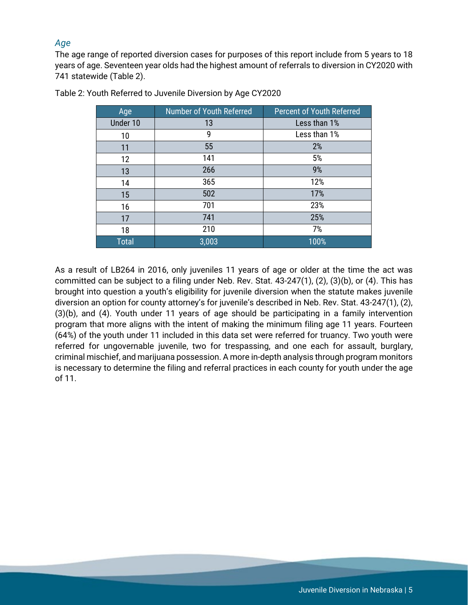#### <span id="page-6-0"></span>*Age*

The age range of reported diversion cases for purposes of this report include from 5 years to 18 years of age. Seventeen year olds had the highest amount of referrals to diversion in CY2020 with 741 statewide (Table 2).

| Age          | Number of Youth Referred | <b>Percent of Youth Referred</b> |
|--------------|--------------------------|----------------------------------|
| Under 10     | 13                       | Less than 1%                     |
| 10           | 9                        | Less than 1%                     |
| 11           | 55                       | 2%                               |
| 12           | 141                      | 5%                               |
| 13           | 266                      | 9%                               |
| 14           | 365                      | 12%                              |
| 15           | 502                      | 17%                              |
| 16           | 701                      | 23%                              |
| 17           | 741                      | 25%                              |
| 18           | 210                      | 7%                               |
| <b>Total</b> | 3,003                    | 100%                             |

Table 2: Youth Referred to Juvenile Diversion by Age CY2020

As a result of LB264 in 2016, only juveniles 11 years of age or older at the time the act was committed can be subject to a filing under Neb. Rev. Stat. 43-247(1), (2), (3)(b), or (4). This has brought into question a youth's eligibility for juvenile diversion when the statute makes juvenile diversion an option for county attorney's for juvenile's described in Neb. Rev. Stat. 43-247(1), (2), (3)(b), and (4). Youth under 11 years of age should be participating in a family intervention program that more aligns with the intent of making the minimum filing age 11 years. Fourteen (64%) of the youth under 11 included in this data set were referred for truancy. Two youth were referred for ungovernable juvenile, two for trespassing, and one each for assault, burglary, criminal mischief, and marijuana possession. A more in-depth analysis through program monitors is necessary to determine the filing and referral practices in each county for youth under the age of 11.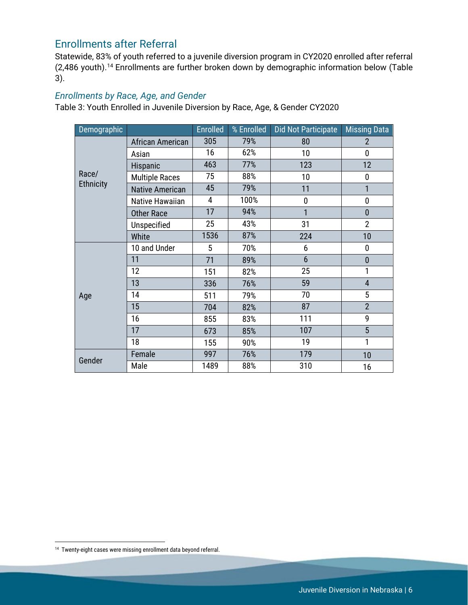### <span id="page-7-0"></span>Enrollments after Referral

Statewide, 83% of youth referred to a juvenile diversion program in CY2020 enrolled after referral (2,486 youth).[14](#page-7-2) Enrollments are further broken down by demographic information below (Table 3).

#### <span id="page-7-1"></span>*Enrollments by Race, Age, and Gender*

Table 3: Youth Enrolled in Juvenile Diversion by Race, Age, & Gender CY2020

| Demographic      |                        | <b>Enrolled</b> | % Enrolled | <b>Did Not Participate</b> | <b>Missing Data</b> |
|------------------|------------------------|-----------------|------------|----------------------------|---------------------|
|                  | African American       | 305             | 79%        | 80                         | $\overline{2}$      |
|                  | Asian                  | 16              | 62%        | 10                         | 0                   |
|                  | Hispanic               | 463             | 77%        | 123                        | 12                  |
| Race/            | <b>Multiple Races</b>  | 75              | 88%        | 10                         | $\mathbf 0$         |
| <b>Ethnicity</b> | <b>Native American</b> | 45              | 79%        | 11                         | 1                   |
|                  | Native Hawaiian        | 4               | 100%       | $\mathbf 0$                | $\pmb{0}$           |
|                  | <b>Other Race</b>      | 17              | 94%        | 1                          | $\overline{0}$      |
|                  | Unspecified            | 25              | 43%        | 31                         | $\overline{2}$      |
|                  | White                  | 1536            | 87%        | 224                        | 10                  |
|                  | 10 and Under           | 5               | 70%        | 6                          | 0                   |
|                  | 11                     | 71              | 89%        | $6\phantom{1}$             | $\mathbf{0}$        |
|                  | 12                     | 151             | 82%        | 25                         | 1                   |
|                  | 13                     | 336             | 76%        | 59                         | $\overline{4}$      |
| Age              | 14                     | 511             | 79%        | 70                         | 5                   |
|                  | 15                     | 704             | 82%        | 87                         | $\overline{2}$      |
|                  | 16                     | 855             | 83%        | 111                        | 9                   |
|                  | 17                     | 673             | 85%        | 107                        | 5                   |
|                  | 18                     | 155             | 90%        | 19                         | 1                   |
|                  | Female                 | 997             | 76%        | 179                        | 10                  |
| Gender           | Male                   | 1489            | 88%        | 310                        | 16                  |

<span id="page-7-2"></span>l <sup>14</sup> Twenty-eight cases were missing enrollment data beyond referral.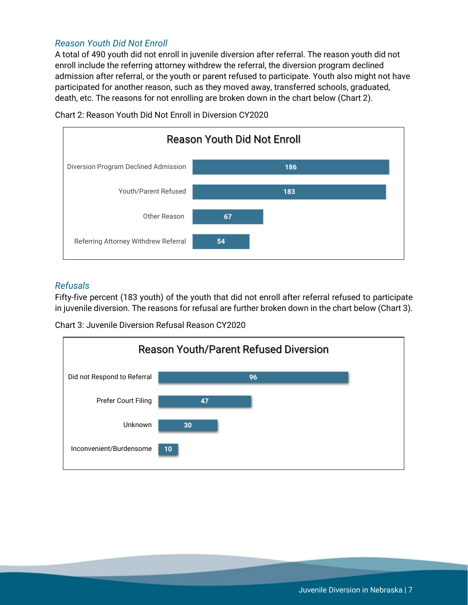#### <span id="page-8-0"></span>*Reason Youth Did Not Enroll*

A total of 490 youth did not enroll in juvenile diversion after referral. The reason youth did not enroll include the referring attorney withdrew the referral, the diversion program declined admission after referral, or the youth or parent refused to participate. Youth also might not have participated for another reason, such as they moved away, transferred schools, graduated, death, etc. The reasons for not enrolling are broken down in the chart below (Chart 2).



Chart 2: Reason Youth Did Not Enroll in Diversion CY2020

#### <span id="page-8-1"></span>*Refusals*

Fifty-five percent (183 youth) of the youth that did not enroll after referral refused to participate in juvenile diversion. The reasons for refusal are further broken down in the chart below (Chart 3).

Chart 3: Juvenile Diversion Refusal Reason CY2020

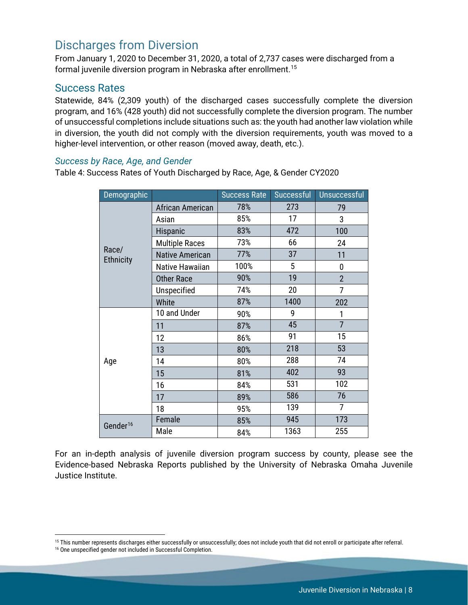### <span id="page-9-0"></span>Discharges from Diversion

From January 1, 2020 to December 31, 2020, a total of 2,737 cases were discharged from a formal juvenile diversion program in Nebraska after enrollment. [15](#page-9-3)

#### <span id="page-9-1"></span>Success Rates

Statewide, 84% (2,309 youth) of the discharged cases successfully complete the diversion program, and 16% (428 youth) did not successfully complete the diversion program. The number of unsuccessful completions include situations such as: the youth had another law violation while in diversion, the youth did not comply with the diversion requirements, youth was moved to a higher-level intervention, or other reason (moved away, death, etc.).

#### <span id="page-9-2"></span>*Success by Race, Age, and Gender*

Table 4: Success Rates of Youth Discharged by Race, Age, & Gender CY2020

| Demographic               |                        | <b>Success Rate</b> | Successful | Unsuccessful   |
|---------------------------|------------------------|---------------------|------------|----------------|
|                           | African American       | 78%                 | 273        | 79             |
|                           | Asian                  | 85%                 | 17         | 3              |
|                           | Hispanic               | 83%                 | 472        | 100            |
|                           | <b>Multiple Races</b>  | 73%                 | 66         | 24             |
| Race/<br><b>Ethnicity</b> | <b>Native American</b> | 77%                 | 37         | 11             |
|                           | Native Hawaiian        | 100%                | 5          | 0              |
|                           | <b>Other Race</b>      | 90%                 | 19         | $\overline{2}$ |
|                           | Unspecified            | 74%                 | 20         | 7              |
|                           | White                  | 87%                 | 1400       | 202            |
|                           | 10 and Under           | 90%                 | 9          | 1              |
|                           | 11                     | 87%                 | 45         | $\overline{7}$ |
|                           | 12                     | 86%                 | 91         | 15             |
|                           | 13                     | 80%                 | 218        | 53             |
| Age                       | 14                     | 80%                 | 288        | 74             |
|                           | 15                     | 81%                 | 402        | 93             |
|                           | 16                     | 84%                 | 531        | 102            |
|                           | 17                     | 89%                 | 586        | 76             |
|                           | 18                     | 95%                 | 139        | 7              |
| Gender <sup>16</sup>      | Female                 | 85%                 | 945        | 173            |
|                           | Male                   | 84%                 | 1363       | 255            |

For an in-depth analysis of juvenile diversion program success by county, please see the Evidence-based Nebraska Reports published by the University of Nebraska Omaha Juvenile Justice Institute.

 $\overline{\phantom{a}}$ 

<span id="page-9-3"></span><sup>&</sup>lt;sup>15</sup> This number represents discharges either successfully or unsuccessfully; does not include youth that did not enroll or participate after referral.<br><sup>16</sup> One unspecified gender not included in Successful Completion.

<span id="page-9-4"></span>